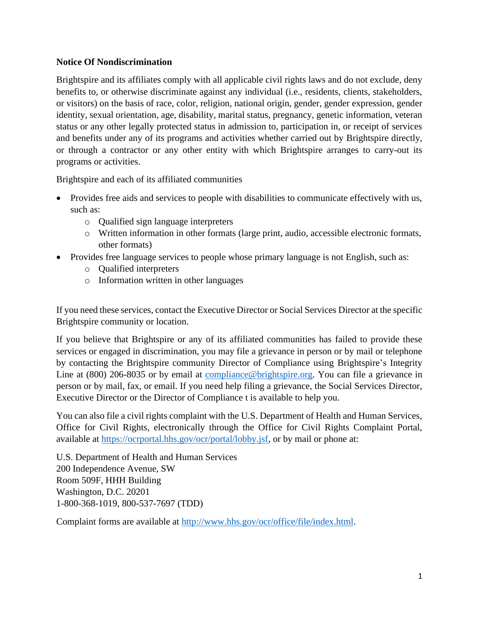#### **Notice Of Nondiscrimination**

Brightspire and its affiliates comply with all applicable civil rights laws and do not exclude, deny benefits to, or otherwise discriminate against any individual (i.e., residents, clients, stakeholders, or visitors) on the basis of race, color, religion, national origin, gender, gender expression, gender identity, sexual orientation, age, disability, marital status, pregnancy, genetic information, veteran status or any other legally protected status in admission to, participation in, or receipt of services and benefits under any of its programs and activities whether carried out by Brightspire directly, or through a contractor or any other entity with which Brightspire arranges to carry-out its programs or activities.

Brightspire and each of its affiliated communities

- Provides free aids and services to people with disabilities to communicate effectively with us, such as:
	- o Qualified sign language interpreters
	- o Written information in other formats (large print, audio, accessible electronic formats, other formats)
- Provides free language services to people whose primary language is not English, such as:
	- o Qualified interpreters
	- o Information written in other languages

If you need these services, contact the Executive Director or Social Services Director at the specific Brightspire community or location.

If you believe that Brightspire or any of its affiliated communities has failed to provide these services or engaged in discrimination, you may file a grievance in person or by mail or telephone by contacting the Brightspire community Director of Compliance using Brightspire's Integrity Line at (800) 206-8035 or by email at [compliance@brightspire.org.](mailto:compliance@brightspire.org) You can file a grievance in person or by mail, fax, or email. If you need help filing a grievance, the Social Services Director, Executive Director or the Director of Compliance t is available to help you.

You can also file a civil rights complaint with the U.S. Department of Health and Human Services, Office for Civil Rights, electronically through the Office for Civil Rights Complaint Portal, available at [https://ocrportal.hhs.gov/ocr/portal/lobby.jsf,](https://ocrportal.hhs.gov/ocr/portal/lobby.jsf) or by mail or phone at:

U.S. Department of Health and Human Services 200 Independence Avenue, SW Room 509F, HHH Building Washington, D.C. 20201 1-800-368-1019, 800-537-7697 (TDD)

Complaint forms are available at [http://www.hhs.gov/ocr/office/file/index.html.](http://www.hhs.gov/ocr/office/file/index.html)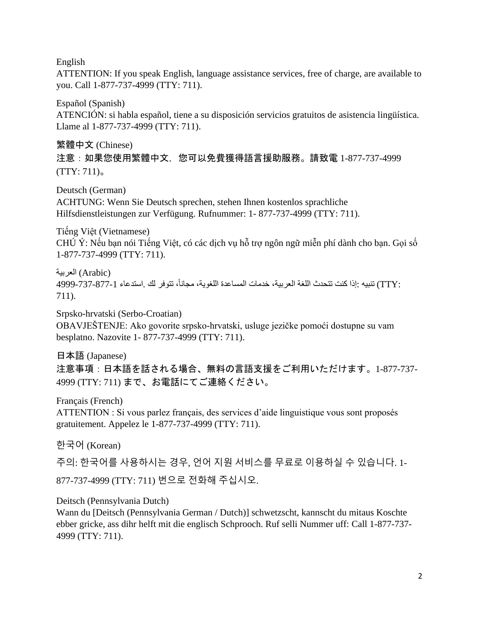English

ATTENTION: If you speak English, language assistance services, free of charge, are available to you. Call 1-877-737-4999 (TTY: 711).

Español (Spanish) ATENCIÓN: si habla español, tiene a su disposición servicios gratuitos de asistencia lingüística. Llame al 1-877-737-4999 (TTY: 711).

繁體中文 (Chinese) 注意:如果您使用繁體中文,您可以免費獲得語言援助服務。請致電 1-877-737-4999  $(TTY: 711)$ <sub>0</sub>

Deutsch (German) ACHTUNG: Wenn Sie Deutsch sprechen, stehen Ihnen kostenlos sprachliche Hilfsdienstleistungen zur Verfügung. Rufnummer: 1- 877-737-4999 (TTY: 711).

Tiếng Việt (Vietnamese) CHÚ Ý: Nếu bạn nói Tiếng Việt, có các dịch vụ hỗ trợ ngôn ngữ miễn phí dành cho bạn. Gọi số 1-877-737-4999 (TTY: 711).

(Arabic (العربية :TTY) تنبيه :إذا كنت تتحدث اللغة العربية، خدمات المساعدة اللغوية، مجاناً، تتوفر لك .استدعاء 1-877-4999-4999 711).

Srpsko-hrvatski (Serbo-Croatian) OBAVJEŠTENJE: Ako govorite srpsko-hrvatski, usluge jezičke pomoći dostupne su vam besplatno. Nazovite 1- 877-737-4999 (TTY: 711).

日本語 (Japanese) 注意事項:日本語を話される場合、無料の言語支援をご利用いただけます。1-877-737- 4999 (TTY: 711) まで、お電話にてご連絡ください。

Français (French)

ATTENTION : Si vous parlez français, des services d'aide linguistique vous sont proposés gratuitement. Appelez le 1-877-737-4999 (TTY: 711).

한국어 (Korean)

주의: 한국어를 사용하시는 경우, 언어 지원 서비스를 무료로 이용하실 수 있습니다. 1- 877-737-4999 (TTY: 711) 번으로 전화해 주십시오.

Deitsch (Pennsylvania Dutch)

Wann du [Deitsch (Pennsylvania German / Dutch)] schwetzscht, kannscht du mitaus Koschte ebber gricke, ass dihr helft mit die englisch Schprooch. Ruf selli Nummer uff: Call 1-877-737- 4999 (TTY: 711).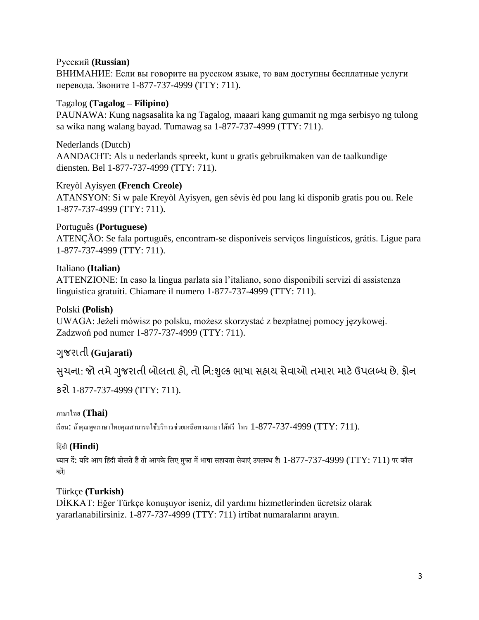#### Русский **(Russian)**

ВНИМАНИЕ: Если вы говорите на русском языке, то вам доступны бесплатные услуги перевода. Звоните 1-877-737-4999 (TTY: 711).

#### Tagalog **(Tagalog – Filipino)**

PAUNAWA: Kung nagsasalita ka ng Tagalog, maaari kang gumamit ng mga serbisyo ng tulong sa wika nang walang bayad. Tumawag sa 1-877-737-4999 (TTY: 711).

Nederlands (Dutch) AANDACHT: Als u nederlands spreekt, kunt u gratis gebruikmaken van de taalkundige diensten. Bel 1-877-737-4999 (TTY: 711).

#### Kreyòl Ayisyen **(French Creole)**

ATANSYON: Si w pale Kreyòl Ayisyen, gen sèvis èd pou lang ki disponib gratis pou ou. Rele 1-877-737-4999 (TTY: 711).

#### Português **(Portuguese)**

ATENÇÃO: Se fala português, encontram-se disponíveis serviços linguísticos, grátis. Ligue para 1-877-737-4999 (TTY: 711).

## Italiano **(Italian)**

ATTENZIONE: In caso la lingua parlata sia l'italiano, sono disponibili servizi di assistenza linguistica gratuiti. Chiamare il numero 1-877-737-4999 (TTY: 711).

#### Polski **(Polish)**

UWAGA: Jeżeli mówisz po polsku, możesz skorzystać z bezpłatnej pomocy językowej. Zadzwoń pod numer 1-877-737-4999 (TTY: 711).

## ગજુ રાતી **(Gujarati)**

સુચના: જો તમે ગુજરાતી બોલતા હો, તો નિ:શુલ્ક ભાષા સહાય સેવાઓ તમારા માટે ઉપલબ્ધ છે. ફોન

કરો 1-877-737-4999 (TTY: 711).

## ภาษาไทย **(Thai)**

เรียน: ถ้าคุณพูดภาษาไทยคุณสามารถใช้บริการช่วยเหลือทางภาษาได้ฟรี โทร  $1$ -877-737-4999 (TTY: 711).

#### हिंदी **(Hindi)**

ध्यान दें: यदि आप हिंदी बोलते हैं तो आपके लिए मुफ्त में भाषा सहायता सेवाएं उपलब्ध हैं।  $1$ -877-737-4999 (TTY: 711) पर कॉल करें।

#### Türkçe **(Turkish)**

DİKKAT: Eğer Türkçe konuşuyor iseniz, dil yardımı hizmetlerinden ücretsiz olarak yararlanabilirsiniz. 1-877-737-4999 (TTY: 711) irtibat numaralarını arayın.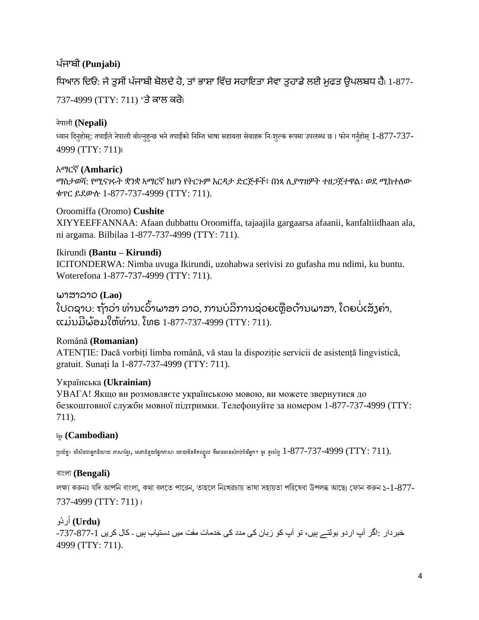## ਪੰ ਜਾਬੀ **(Punjabi)**

## ਧਿਆਨ ਦਿਓ: ਜੇ ਤਸੀਂ ਪੰਜਾਬੀ ਬੋਲਦੇ ਹੋ, ਤਾਂ ਭਾਸ਼ਾ ਵਿੱਚ ਸਹਾਇਤਾ ਸੇਵਾ ਤਹਾਡੇ ਲਈ ਮਫਤ ਉਪਲਬਧ ਹੈ। 1-877-

737-4999 (TTY: 711) 'ਤੇ ਕਾਲ ਕਰੋ।

## नेपाली **(Nepali)**

ध्यान दिनुहोस: तपाईंले नेपाली बोल्नुहन्छ भने तपाईंको निम्ति भाषा सहायता सेवाहरू निःशुल्क रूपमा उपलब्ध छ। फोन गर्नुहोस 1-877-737-4999 (TTY: 711)।

## አማርኛ **(Amharic)**

ማስታወሻ: የሚናገሩት ቋንቋ ኣማርኛ ከሆነ የትርጉም እርዳታ ድርጅቶች፣ በነጻ ሊያግዝዎት ተዘጋጀተዋል፡ ወደ ሚከተለው ቁጥር ይደውሉ 1-877-737-4999 (TTY: 711).

## Oroomiffa (Oromo) **Cushite**

XIYYEEFFANNAA: Afaan dubbattu Oroomiffa, tajaajila gargaarsa afaanii, kanfaltiidhaan ala, ni argama. Bilbilaa 1-877-737-4999 (TTY: 711).

## Ikirundi **(Bantu – Kirundi)**

ICITONDERWA: Nimba uvuga Ikirundi, uzohabwa serivisi zo gufasha mu ndimi, ku buntu. Woterefona 1-877-737-4999 (TTY: 711).

## ພາສາລາວ **(Lao)**

ໂປດຊາບ: ຖ້າວ່າ ທ່ານເວົາພາສາ ລາວ, ການບໍລິການຊ່ວຍເຫຼືອດ້ານພາສາ, ໂດຍບໍເສັງຄ່າ, ແມ່ນມີພ້ອມໃຫ້ທ່ານ. ໂທຣ 1-877-737-4999 (TTY: 711).

## Română **(Romanian)**

ATENȚIE: Dacă vorbiți limba română, vă stau la dispoziție servicii de asistență lingvistică, gratuit. Sunați la 1-877-737-4999 (TTY: 711).

## Українська **(Ukrainian)**

УВАГА! Якщо ви розмовляєте українською мовою, ви можете звернутися до безкоштовної служби мовної підтримки. Телефонуйте за номером 1-877-737-4999 (TTY: 711).

## ខ្មែរ **(Cambodian)**

ប្រយ័ត្ន៖ បើសិនជាអ្នកនិយាយ ភាសាខ្មែរ, សេវាជំនួយផ្នែកភាសា ដោយមិនគិតឈ្នួល គឺអាចមានសំរាប់បំរើអ្នក។ ចូរ ទូរស័ព្ទ  $1-877$ – $737$ – $4999$   $(\mathrm{TTY:}$   $711)$ .

## বাংলা **(Bengali)**

লক্ষ্য করুনঃ যদি আপনি বাংলা, কথা বলতে পারেন, তাহলে নিঃখরচায় ভাষা সহায়তা পরিষেবা উপলব্ধ আছে৷ ফোন করুন ১-1-877-737-4999 (TTY: 711) ।

# **(Urdu (**اُردُو

خبر دار :اگر آپ اردو بولتے ہيں، تو آپ کو زبان کی مدد کی خدمات مفت ميں دستياب ہيں ۔ کال کريں 1-877-737-4999 (TTY: 711).